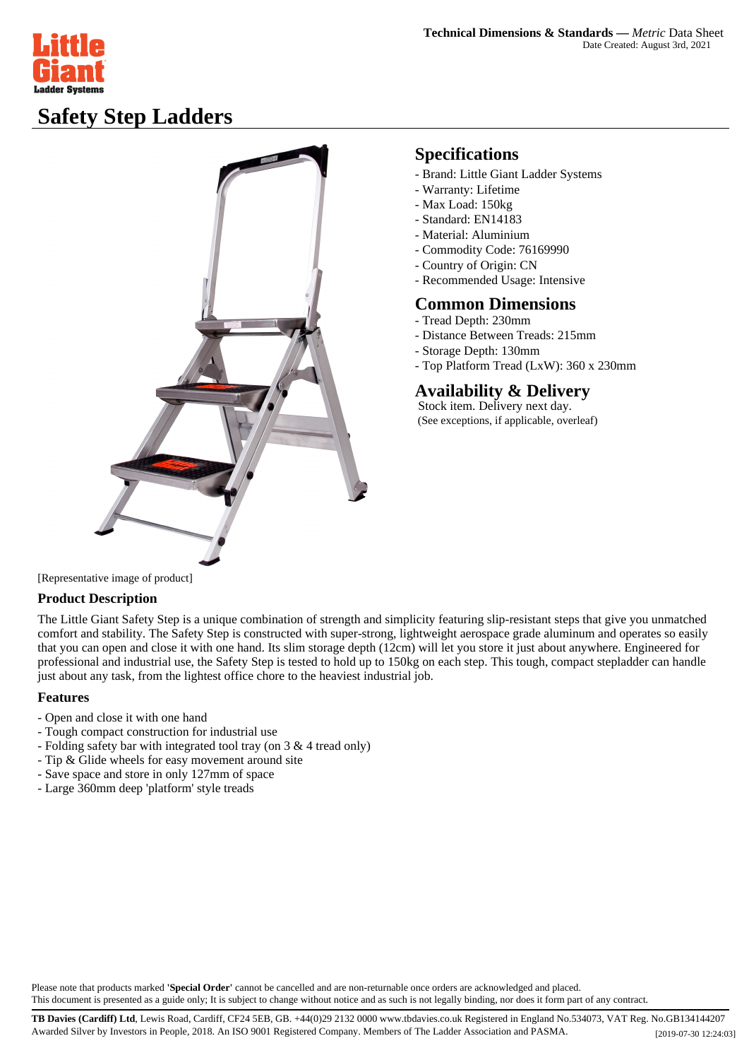

# **Safety Step Ladders**



## **Specifications**

- Brand: Little Giant Ladder Systems
- Warranty: Lifetime
- Max Load: 150kg
- Standard: EN14183
- Material: Aluminium
- Commodity Code: 76169990
- Country of Origin: CN
- Recommended Usage: Intensive

#### **Common Dimensions**

- Tread Depth: 230mm
- Distance Between Treads: 215mm
- Storage Depth: 130mm
- Top Platform Tread (LxW): 360 x 230mm

## **Availability & Delivery**

 Stock item. Delivery next day. (See exceptions, if applicable, overleaf)

[Representative image of product]

### **Product Description**

The Little Giant Safety Step is a unique combination of strength and simplicity featuring slip-resistant steps that give you unmatched comfort and stability. The Safety Step is constructed with super-strong, lightweight aerospace grade aluminum and operates so easily that you can open and close it with one hand. Its slim storage depth (12cm) will let you store it just about anywhere. Engineered for professional and industrial use, the Safety Step is tested to hold up to 150kg on each step. This tough, compact stepladder can handle just about any task, from the lightest office chore to the heaviest industrial job.

#### **Features**

- Open and close it with one hand
- Tough compact construction for industrial use
- Folding safety bar with integrated tool tray (on 3 & 4 tread only)
- Tip & Glide wheels for easy movement around site
- Save space and store in only 127mm of space
- Large 360mm deep 'platform' style treads

Please note that products marked **'Special Order'** cannot be cancelled and are non-returnable once orders are acknowledged and placed. This document is presented as a guide only; It is subject to change without notice and as such is not legally binding, nor does it form part of any contract.